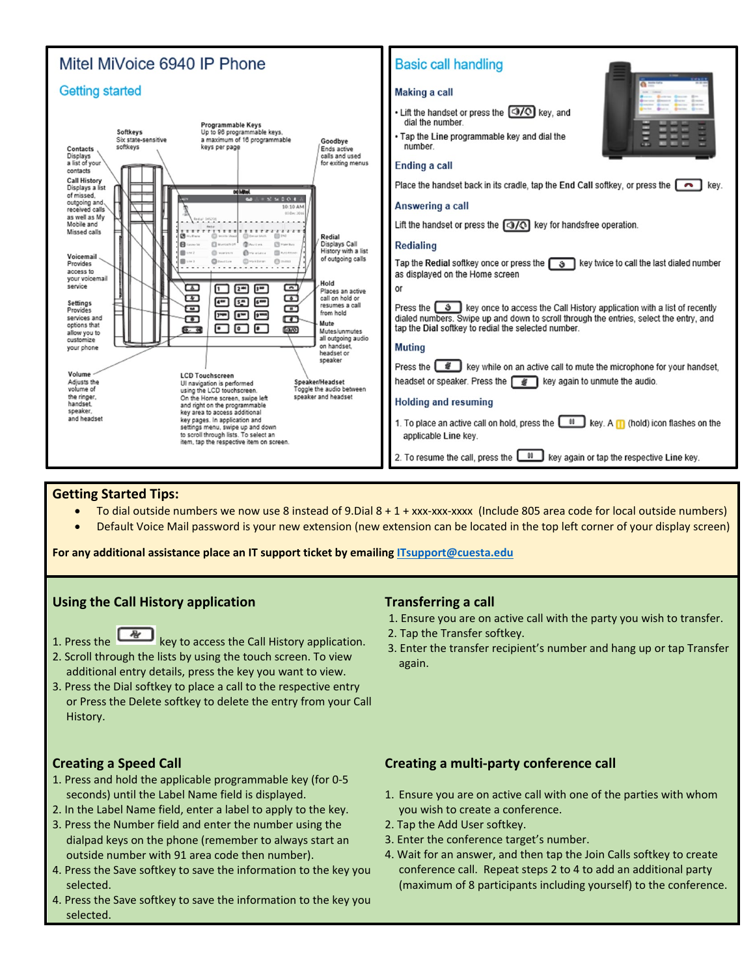

### **Getting Started Tips:**

- To dial outside numbers we now use 8 instead of 9.Dial 8 + 1 + xxx-xxx-xxxx (Include 805 area code for local outside numbers)
- Default Voice Mail password is your new extension (new extension can be located in the top left corner of your display screen)

**For any additional assistance place an IT support ticket by emailing [ITsupport@cuesta.edu](mailto:ITsupport@cuesta.edu)**

#### **Using the Call History application**

- 1. Press the key to access the Call History application.
- 2. Scroll through the lists by using the touch screen. To view additional entry details, press the key you want to view.
- 3. Press the Dial softkey to place a call to the respective entry or Press the Delete softkey to delete the entry from your Call History.

# **Transferring a call**

- 1. Ensure you are on active call with the party you wish to transfer.
- 2. Tap the Transfer softkey.
- 3. Enter the transfer recipient's number and hang up or tap Transfer again.

# **Creating a Speed Call**

- 1. Press and hold the applicable programmable key (for 0-5 seconds) until the Label Name field is displayed.
- 2. In the Label Name field, enter a label to apply to the key.
- 3. Press the Number field and enter the number using the dialpad keys on the phone (remember to always start an outside number with 91 area code then number).
- 4. Press the Save softkey to save the information to the key you selected.
- 4. Press the Save softkey to save the information to the key you selected.

# **Creating a multi-party conference call**

- 1. Ensure you are on active call with one of the parties with whom you wish to create a conference.
- 2. Tap the Add User softkey.
- 3. Enter the conference target's number.
- 4. Wait for an answer, and then tap the Join Calls softkey to create conference call. Repeat steps 2 to 4 to add an additional party (maximum of 8 participants including yourself) to the conference.